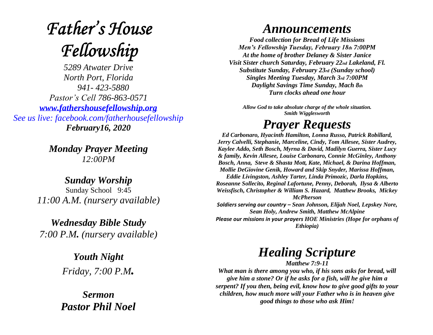# **Father's House** Fellowship

*5289 Atwater Drive North Port, Florida 941- 423-5880 Pastor's Cell 786-863-0571 [www.fathershousefellowship.org](http://www.fathershousefellowship.org/) See us live: facebook.com/fatherhousefellowship February16, 2020*

> *Monday Prayer Meeting 12:00PM*

*Sunday Worship* Sunday School 9:45 *11:00 A.M. (nursery available)*

*Wednesday Bible Study 7:00 P.M. (nursery available)*

> *Youth Night Friday, 7:00 P.M.*

*Sermon Pastor Phil Noel*

#### *Announcements*

*Food collection for Bread of Life Missions Men's Fellowship Tuesday, February 18th 7:00PM At the home of brother Delaney & Sister Janice Visit Sister church Saturday, February 22nd Lakeland, Fl. Substitute Sunday, February 23rd (Sunday school) Singles Meeting Tuesday, March 3rd 7:00PM Daylight Savings Time Sunday, Mach 8th Turn clocks ahead one hour*

*Allow God to take absolute charge of the whole situation. Smith Wigglesworth*

## *Prayer Requests*

*Ed Carbonaro, Hyacinth Hamilton, Lonna Russo, Patrick Robillard, Jerry Calvelli, Stephanie, Marceline, Cindy, Tom Allesee, Sister Audrey, Kaylee Addo, Seth Bosch, Myrna & David, Madilyn Guerra, Sister Lucy & family, Kevin Allesee, Louise Carbonaro, Connie McGinley, Anthony Bosch, Anna, Steve & Shasta Mott, Kate, Michael, & Darina Hoffman, Mollie DeGiovine Genik, Howard and Skip Snyder, Marissa Hoffman, Eddie Livingston, Ashley Tarter, Linda Primozic, Darla Hopkins, Roseanne Sollecito, Reginal Lafortune, Penny, Deborah, Ilysa & Alberto Weissfisch, Christopher & William S. Hazard, Matthew Brooks, Mickey McPherson Soldiers serving our country – Sean Johnson, Elijah Noel, Lepskey Nore, Sean Holy, Andrew Smith, Matthew McAlpine*

*Please our missions in your prayers HOE Ministries (Hope for orphans of Ethiopia)*

### *Healing Scripture*

*Matthew 7:9-11*

*What man is there among you who, if his sons asks for bread, will give him a stone? Or if he asks for a fish, will he give him a serpent? If you then, being evil, know how to give good gifts to your children, how much more will your Father who is in heaven give good things to those who ask Him!*